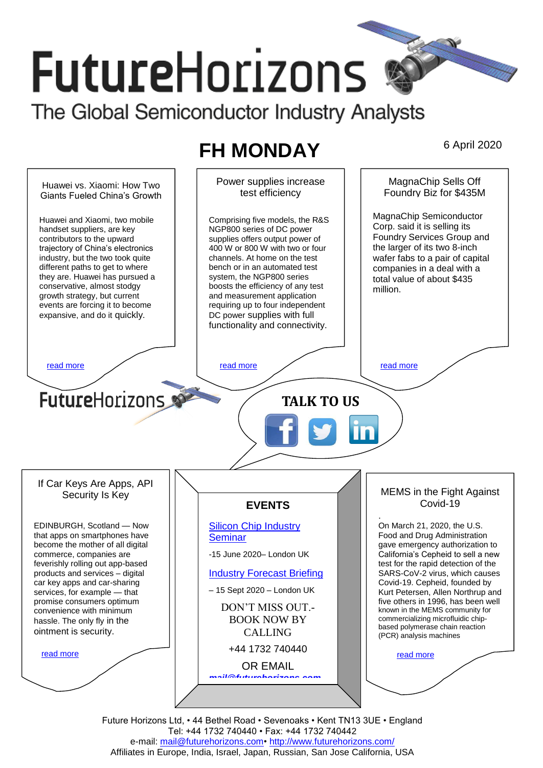# **FutureHorizons** The Global Semiconductor Industry Analysts

# **FH MONDAY** 6 April 2020



Future Horizons Ltd, • 44 Bethel Road • Sevenoaks • Kent TN13 3UE • England Tel: +44 1732 740440 • Fax: +44 1732 740442 e-mail: mail@futurehorizons.com• http://www.futurehorizons.com/ Affiliates in Europe, India, Israel, Japan, Russian, San Jose California, USA